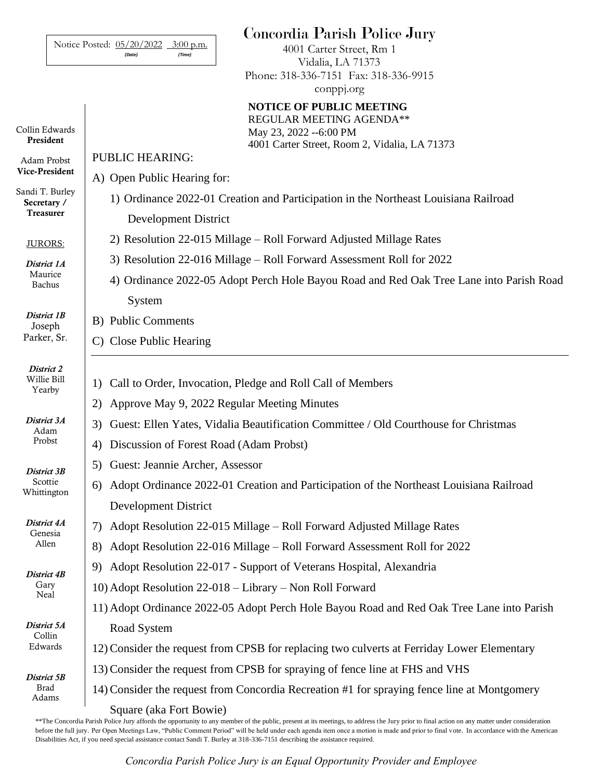|                                       | Concordia Parish Police Jury<br>Notice Posted: 05/20/2022 3:00 p.m.<br>4001 Carter Street, Rm 1<br>(Time)<br>(Date) |
|---------------------------------------|---------------------------------------------------------------------------------------------------------------------|
|                                       | Vidalia, LA 71373<br>Phone: 318-336-7151 Fax: 318-336-9915<br>conppj.org                                            |
|                                       | <b>NOTICE OF PUBLIC MEETING</b><br>REGULAR MEETING AGENDA**                                                         |
| Collin Edwards<br>President           | May 23, 2022 -- 6:00 PM<br>4001 Carter Street, Room 2, Vidalia, LA 71373                                            |
| Adam Probst<br>Vice-President         | <b>PUBLIC HEARING:</b>                                                                                              |
| Sandi T. Burley                       | A) Open Public Hearing for:                                                                                         |
| Secretary /<br><b>Treasurer</b>       | 1) Ordinance 2022-01 Creation and Participation in the Northeast Louisiana Railroad<br><b>Development District</b>  |
| JURORS:                               | 2) Resolution 22-015 Millage – Roll Forward Adjusted Millage Rates                                                  |
| District 1A                           | 3) Resolution 22-016 Millage – Roll Forward Assessment Roll for 2022                                                |
| Maurice<br>Bachus                     | 4) Ordinance 2022-05 Adopt Perch Hole Bayou Road and Red Oak Tree Lane into Parish Road                             |
| District 1B<br>Joseph<br>Parker, Sr.  | System                                                                                                              |
|                                       | <b>B)</b> Public Comments                                                                                           |
|                                       | C) Close Public Hearing                                                                                             |
| District 2<br>Willie Bill<br>Yearby   | Call to Order, Invocation, Pledge and Roll Call of Members<br>1)                                                    |
|                                       | Approve May 9, 2022 Regular Meeting Minutes<br>2)                                                                   |
| District 3A<br>Adam<br>Probst         | Guest: Ellen Yates, Vidalia Beautification Committee / Old Courthouse for Christmas<br>3)                           |
|                                       | Discussion of Forest Road (Adam Probst)<br>4)                                                                       |
| District 3B<br>Scottie<br>Whittington | 5) Guest: Jeannie Archer, Assessor                                                                                  |
|                                       | Adopt Ordinance 2022-01 Creation and Participation of the Northeast Louisiana Railroad<br>6)                        |
|                                       | <b>Development District</b>                                                                                         |
| District 4A<br>Genesia<br>Allen       | Adopt Resolution 22-015 Millage – Roll Forward Adjusted Millage Rates<br>7)                                         |
|                                       | Adopt Resolution 22-016 Millage – Roll Forward Assessment Roll for 2022<br>8)                                       |
| District 4B<br>Gary<br>Neal           | Adopt Resolution 22-017 - Support of Veterans Hospital, Alexandria<br>9)                                            |
|                                       | 10) Adopt Resolution 22-018 - Library - Non Roll Forward                                                            |
|                                       | 11) Adopt Ordinance 2022-05 Adopt Perch Hole Bayou Road and Red Oak Tree Lane into Parish                           |
| District 5A<br>Collin<br>Edwards      | Road System                                                                                                         |
|                                       | 12) Consider the request from CPSB for replacing two culverts at Ferriday Lower Elementary                          |
| District 5B<br><b>Brad</b><br>Adams   | 13) Consider the request from CPSB for spraying of fence line at FHS and VHS                                        |
|                                       | 14) Consider the request from Concordia Recreation #1 for spraying fence line at Montgomery                         |
|                                       | Square (aka Fort Bowie)                                                                                             |

\*\*The Concordia Parish Police Jury affords the opportunity to any member of the public, present at its meetings, to address the Jury prior to final action on any matter under consideration before the full jury. Per Open Meetings Law, "Public Comment Period" will be held under each agenda item once a motion is made and prior to final vote. In accordance with the American Disabilities Act, if you need special assistance contact Sandi T. Burley at 318-336-7151 describing the assistance required.